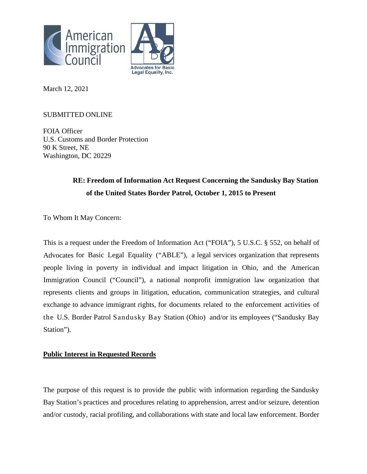



March 12, 2021

## SUBMITTED ONLINE

FOIA Officer U.S. Customs and Border Protection 90 K Street, NE Washington, DC 20229

# **RE: Freedom of Information Act Request Concerning the Sandusky Bay Station of the United States Border Patrol, October 1, 2015 to Present**

To Whom It May Concern:

This is a request under the Freedom of Information Act ("FOIA"), 5 U.S.C. § 552, on behalf of Advocates for Basic Legal Equality ("ABLE"), a legal services organization that represents people living in poverty in individual and impact litigation in Ohio, and the American Immigration Council ("Council"), a national nonprofit immigration law organization that represents clients and groups in litigation, education, communication strategies, and cultural exchange to advance immigrant rights, for documents related to the enforcement activities of the U.S. Border Patrol Sandusky Bay Station (Ohio) and/or its employees ("Sandusky Bay Station").

### **Public Interest in Requested Records**

The purpose of this request is to provide the public with information regarding the Sandusky Bay Station's practices and procedures relating to apprehension, arrest and/or seizure, detention and/or custody, racial profiling, and collaborations with state and local law enforcement. Border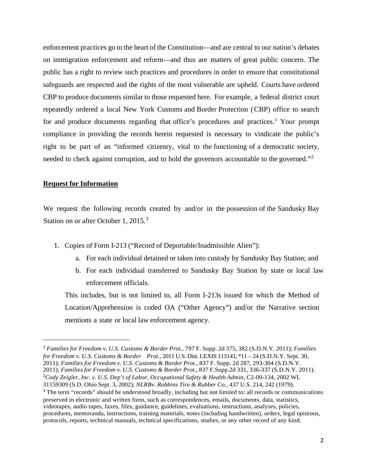enforcement practices go to the heart of the Constitution—and are central to our nation's debates on immigration enforcement and reform—and thus are matters of great public concern. The public has a right to review such practices and procedures in order to ensure that constitutional safeguards are respected and the rights of the most vulnerable are upheld. Courts have ordered CBP to produce documents similar to those requested here. For example, a federal district court repeatedly ordered a local New York Customs and Border Protection (CBP) office to search for and produce documents regarding that office's procedures and practices.<sup>[1](#page-1-0)</sup> Your prompt compliance in providing the records herein requested is necessary to vindicate the public's right to be part of an "informed citizenry, vital to the functioning of a democratic society, needed to check against corruption, and to hold the governors accountable to the governed."<sup>[2](#page-1-1)</sup>

#### **Request for Information**

We request the following records created by and/or in the possession of the Sandusky Bay Station on or after October 1, 2015.<sup>[3](#page-1-2)</sup>

- 1. Copies of Form I-213 ("Record of Deportable/Inadmissible Alien"):
	- a. For each individual detained or taken into custody by Sandusky Bay Station; and
	- b. For each individual transferred to Sandusky Bay Station by state or local law enforcement officials.

This includes, but is not limited to, all Form I-213s issued for which the Method of Location/Apprehension is coded OA ("Other Agency") and/or the Narrative section mentions a state or local law enforcement agency.

<span id="page-1-1"></span><span id="page-1-0"></span><sup>1</sup> *Families for Freedom v. U.S. Customs & Border Prot.*, 797 F. Supp. 2d 375, 382 (S.D.N.Y. 2011); *Families for Freedom v. U.S. Customs & Border Prot.*, 2011 U.S. Dist. LEXIS 113143, \*11 – 24 (S.D.N.Y. Sept. 30, 2011); *Families for Freedom v. U.S. Customs & Border Prot*., 837 F. Supp. 2d 287, 293-304 (S.D.N.Y. 2011); *Families for Freedom v. U.S. Customs & Border Prot*., 837 F.Supp.2d 331, 336-337 (S.D.N.Y. 2011). 2 *Cody Zeigler, Inc. v. U.S. Dep't of Labor, Occupational Safety & Health Admin*, C2-00-134, 2002 WL 31159309 (S.D. Ohio Sept. 3, 2002); *NLRBv. Robbins Tire & Rubber Co.*, 437 U.S. 214, 242 (1979). <sup>3</sup> The term "records" should be understood broadly, including but not limited to: all records or communications preserved in electronic and written form, such as correspondences, emails, documents, data, statistics, videotapes, audio tapes, faxes, files, guidance, guidelines, evaluations, instructions, analyses, policies,

<span id="page-1-2"></span>procedures, memoranda, instructions, training materials, notes (including handwritten), orders, legal opinions, protocols, reports, technical manuals, technical specifications, studies, or any other record of any kind.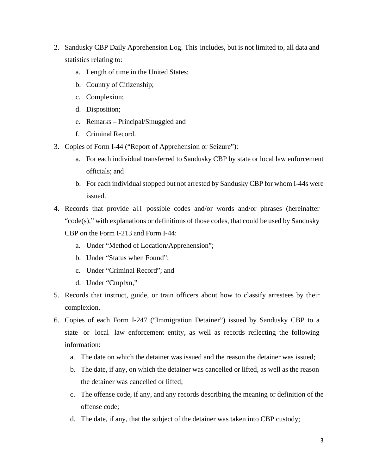- 2. Sandusky CBP Daily Apprehension Log. This includes, but is not limited to, all data and statistics relating to:
	- a. Length of time in the United States;
	- b. Country of Citizenship;
	- c. Complexion;
	- d. Disposition;
	- e. Remarks Principal/Smuggled and
	- f. Criminal Record.
- 3. Copies of Form I-44 ("Report of Apprehension or Seizure"):
	- a. For each individual transferred to Sandusky CBP by state or local law enforcement officials; and
	- b. For each individual stopped but not arrested by Sandusky CBP for whom I-44s were issued.
- 4. Records that provide all possible codes and/or words and/or phrases (hereinafter "code(s)," with explanations or definitions of those codes, that could be used by Sandusky
	- CBP on the Form I-213 and Form I-44:
		- a. Under "Method of Location/Apprehension";
		- b. Under "Status when Found";
		- c. Under "Criminal Record"; and
		- d. Under "Cmplxn,"
- 5. Records that instruct, guide, or train officers about how to classify arrestees by their complexion.
- 6. Copies of each Form I-247 ("Immigration Detainer") issued by Sandusky CBP to a state or local law enforcement entity, as well as records reflecting the following information:
	- a. The date on which the detainer was issued and the reason the detainer was issued;
	- b. The date, if any, on which the detainer was cancelled or lifted, as well as the reason the detainer was cancelled or lifted;
	- c. The offense code, if any, and any records describing the meaning or definition of the offense code;
	- d. The date, if any, that the subject of the detainer was taken into CBP custody;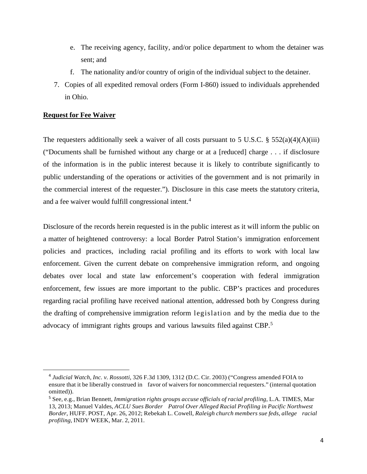- e. The receiving agency, facility, and/or police department to whom the detainer was sent; and
- f. The nationality and/or country of origin of the individual subject to the detainer.
- 7. Copies of all expedited removal orders (Form I-860) issued to individuals apprehended in Ohio.

### **Request for Fee Waiver**

The requesters additionally seek a waiver of all costs pursuant to 5 U.S.C. §  $552(a)(4)(A)(iii)$ ("Documents shall be furnished without any charge or at a [reduced] charge . . . if disclosure of the information is in the public interest because it is likely to contribute significantly to public understanding of the operations or activities of the government and is not primarily in the commercial interest of the requester."). Disclosure in this case meets the statutory criteria, and a fee waiver would fulfill congressional intent.<sup>[4](#page-3-0)</sup>

Disclosure of the records herein requested is in the public interest as it will inform the public on a matter of heightened controversy: a local Border Patrol Station's immigration enforcement policies and practices, including racial profiling and its efforts to work with local law enforcement. Given the current debate on comprehensive immigration reform, and ongoing debates over local and state law enforcement's cooperation with federal immigration enforcement, few issues are more important to the public. CBP's practices and procedures regarding racial profiling have received national attention, addressed both by Congress during the drafting of comprehensive immigration reform legislation and by the media due to the advocacy of immigrant rights groups and various lawsuits filed against CBP.<sup>[5](#page-3-1)</sup>

<span id="page-3-0"></span><sup>4</sup> *Judicial Watch, Inc. v. Rossotti*, 326 F.3d 1309, 1312 (D.C. Cir. 2003) ("Congress amended FOIA to ensure that it be liberally construed in favor of waivers for noncommercial requesters." (internal quotation omitted)).

<span id="page-3-1"></span><sup>5</sup> See, e.g., Brian Bennett, *Immigration rights groups accuse officials of racial profiling*, L.A. TIMES, Mar 13, 2013; Manuel Valdes, *ACLU Sues Border Patrol Over Alleged Racial Profiling in Pacific Northwest Border*, HUFF. POST, Apr. 26, 2012; Rebekah L. Cowell, *Raleigh church members sue feds, allege racial profiling*, INDY WEEK, Mar. 2, 2011.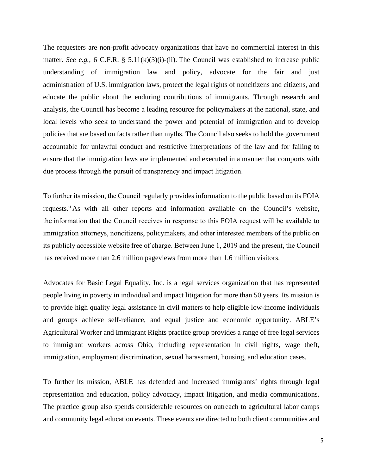The requesters are non-profit advocacy organizations that have no commercial interest in this matter. *See e.g.*, 6 C.F.R. § 5.11(k)(3)(i)-(ii). The Council was established to increase public understanding of immigration law and policy, advocate for the fair and just administration of U.S. immigration laws, protect the legal rights of noncitizens and citizens, and educate the public about the enduring contributions of immigrants. Through research and analysis, the Council has become a leading resource for policymakers at the national, state, and local levels who seek to understand the power and potential of immigration and to develop policies that are based on facts rather than myths. The Council also seeks to hold the government accountable for unlawful conduct and restrictive interpretations of the law and for failing to ensure that the immigration laws are implemented and executed in a manner that comports with due process through the pursuit of transparency and impact litigation.  

To further its mission, the Council regularly provides information to the public based on its FOIA requests.<sup>6</sup> As with all other reports and information available on the Council's website, the information that the Council receives in response to this FOIA request will be available to immigration attorneys, noncitizens, policymakers, and other interested members of the public on its publicly accessible website free of charge. Between June 1, 2019 and the present, the Council has received more than 2.6 million pageviews from more than 1.6 million visitors.  

Advocates for Basic Legal Equality, Inc. is a legal services organization that has represented people living in poverty in individual and impact litigation for more than 50 years. Its mission is to provide high quality legal assistance in civil matters to help eligible low-income individuals and groups achieve self-reliance, and equal justice and economic opportunity. ABLE's Agricultural Worker and Immigrant Rights practice group provides a range of free legal services to immigrant workers across Ohio, including representation in civil rights, wage theft, immigration, employment discrimination, sexual harassment, housing, and education cases.

To further its mission, ABLE has defended and increased immigrants' rights through legal representation and education, policy advocacy, impact litigation, and media communications. The practice group also spends considerable resources on outreach to agricultural labor camps and community legal education events. These events are directed to both client communities and